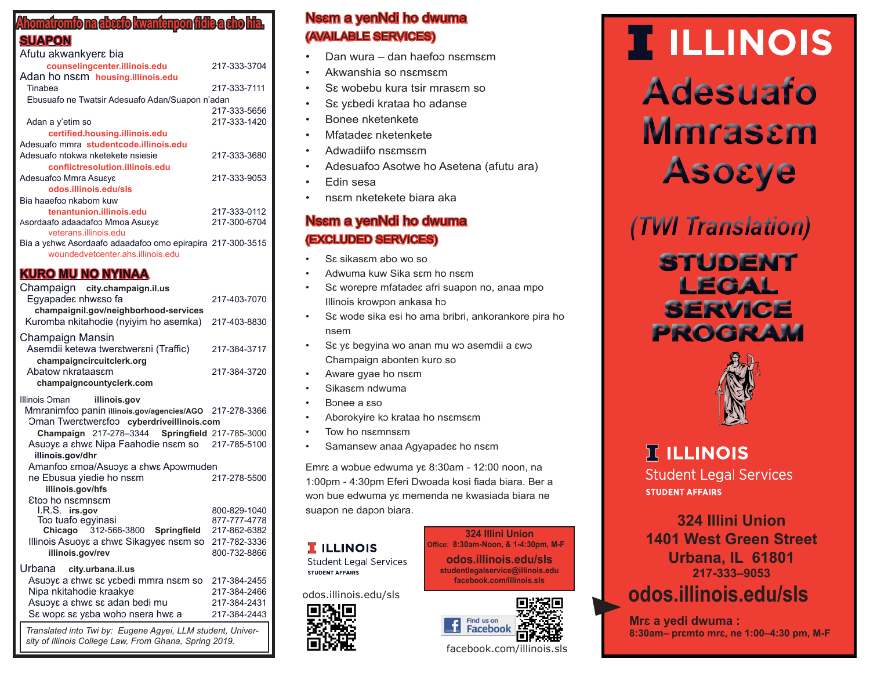## **Ahomatromfo na abɛɛfo kwantenpon fidie a ɛho hia.**

## **SUAPON**

| Afutu akwankyers bia                                                                            |              |  |
|-------------------------------------------------------------------------------------------------|--------------|--|
| counselingcenter.illinois.edu                                                                   | 217-333-3704 |  |
| Adan ho nsem housing.illinois.edu                                                               |              |  |
| Tinabea                                                                                         | 217-333-7111 |  |
| Ebusuafo ne Twatsir Adesuafo Adan/Suapon n'adan                                                 |              |  |
|                                                                                                 | 217-333-5656 |  |
| Adan a y'etim so                                                                                | 217-333-1420 |  |
| certified.housing.illinois.edu                                                                  |              |  |
| Adesuafo mmra studentcode.illinois.edu                                                          |              |  |
| Adesuafo ntokwa nketekete nsiesie                                                               | 217-333-3680 |  |
| conflictresolution.illinois.edu                                                                 |              |  |
| Adesuafoo Mmra Asuεγε                                                                           | 217-333-9053 |  |
| odos.illinois.edu/sls                                                                           |              |  |
| Bia haaefoo nkabom kuw                                                                          |              |  |
| tenantunion.illinois.edu                                                                        | 217-333-0112 |  |
| Asordaafo adaadafoo Mmoa Asuεγε                                                                 | 217-300-6704 |  |
| veterans.illinois.edu                                                                           |              |  |
| Bia a ychwc Asordaafo adaadafoo omo epirapira 217-300-3515<br>woundedvetcenter ahs illinois edu |              |  |
|                                                                                                 |              |  |

## **KURO MU NO NYINAA**

| Champaign city.champaign.il.us<br>Egyapades nhwsso fa<br>champaignil.gov/neighborhood-services<br>Kuromba nkitahodie (nyiyim ho asemka) | 217-403-7070<br>217-403-8830 |  |
|-----------------------------------------------------------------------------------------------------------------------------------------|------------------------------|--|
| Champaign Mansin<br>Asemdii ketewa twerstwersni (Traffic)<br>champaigncircuitclerk.org                                                  | 217-384-3717                 |  |
| Abatow nkrataassm<br>champaigncountyclerk.com                                                                                           | 217-384-3720                 |  |
| Illinois Oman<br>illinois.gov                                                                                                           |                              |  |
| Mmranimfoo panin illinois.gov/agencies/AGO                                                                                              | 217-278-3366                 |  |
| Oman Twerstwersfoo cyberdriveillinois.com                                                                                               |                              |  |
| Champaign 217-278-3344 Springfield 217-785-3000                                                                                         |                              |  |
| Asuɔyɛ a ɛhwɛ Nipa Faahodie nsɛm so                                                                                                     | 217-785-5100                 |  |
| illinois.gov/dhr                                                                                                                        |                              |  |
| Amanfoo εmoa/Asuoyε a εhwε Apowmuden                                                                                                    |                              |  |
| ne Ebusua yiedie ho nsam                                                                                                                | 217-278-5500                 |  |
| illinois.gov/hfs                                                                                                                        |                              |  |
| Etoo ho nsemnsem                                                                                                                        |                              |  |
| I.R.S. irs.gov                                                                                                                          | 800-829-1040                 |  |
| Too tuafo egyinasi                                                                                                                      | 877-777-4778                 |  |
| Chicago 312-566-3800 Springfield                                                                                                        | 217-862-6382<br>217-782-3336 |  |
| Illinois Asuoye a shwe Sikagyes nsem so                                                                                                 |                              |  |
| illinois.gov/rev                                                                                                                        | 800-732-8866                 |  |
| Urbana<br>city.urbana.il.us                                                                                                             |                              |  |
| Asubys a shws ss ysbedi mmra nssm so                                                                                                    | 217-384-2455                 |  |
| Nipa nkitahodie kraakye                                                                                                                 | 217-384-2466                 |  |
| Asuoys a shws ss adan bedi mu                                                                                                           | 217-384-2431                 |  |
| Se wope se yeba woho nsera hwe a                                                                                                        | 217-384-2443                 |  |
| Translated into Twi by: Eugene Agyei, LLM student, Univer-<br>sity of Illinois College Law, From Ghana, Spring 2019.                    |                              |  |

# Nsɛm a yenNdi ho dwuma (AVAILABLE SERVICES)

- Dan wura dan haefoɔ nsɛmsɛm
- Akwanshia so nsɛmsɛm
- Sɛ wobebu kura tsir mrasɛm so
- Sε yεbedi krataa ho adanse
- Bonee nketenkete
- Mfatadeɛ nketenkete
- Adwadiifo nsɛmsɛm
- Adesuafoɔ Asotwe ho Asetena (afutu ara)
- Edin sesa
- nsɛm nketekete biara aka

# Nsɛm a yenNdi ho dwuma (EXCLUDED SERVICES)

- Sɛ sikasɛm abo wo so
- Adwuma kuw Sika sɛm ho nsɛm
- Sɛ worepre mfatadeɛ afri suapon no, anaa mpo Illinois krowpɔn ankasa hɔ
- Sɛ wode sika esi ho ama bribri, ankorankore pira ho nsem
- Sɛ yɛ begyina wo anan mu wɔ asemdii a ɛwɔ Champaign abonten kuro so
- Aware gyae ho nsɛm
- Sikasɛm ndwuma
- Bɔnee a ɛso
- Aborokyire kɔ krataa ho nsɛmsɛm
- Tow ho nsɛmnsɛm
- Samansew anaa Agyapade $\varepsilon$  ho ns $\varepsilon$ m

Emrɛ a wɔbue edwuma yɛ 8:30am - 12:00 noon, na 1:00pm - 4:30pm Eferi Dwoada kosi fiada biara. Ber a wɔn bue edwuma yɛ memenda ne kwasiada biara ne suapon ne dapon biara.

#### **T** ILLINOIS **Student Legal Services**

**STUDENT AFFAIRS** 

odos.illinois.edu/sls







# **TELLINOIS Adesuafo Mmrasɛm Asoɛye**

*(TWI Translation)*

# **STUDENT LEGAL SERVICE PROGRAM**



# **IT ILLINOIS**

**Student Legal Services STUDENT AFFAIRS** 

**324 Illini Union 1401 West Green Street Urbana, IL 61801 217-333–9053 odos.illinois.edu/sls**

**Mrɛ a yedi dwuma : 8:30am– prɛmto mrɛ, ne 1:00–4:30 pm, M-F**